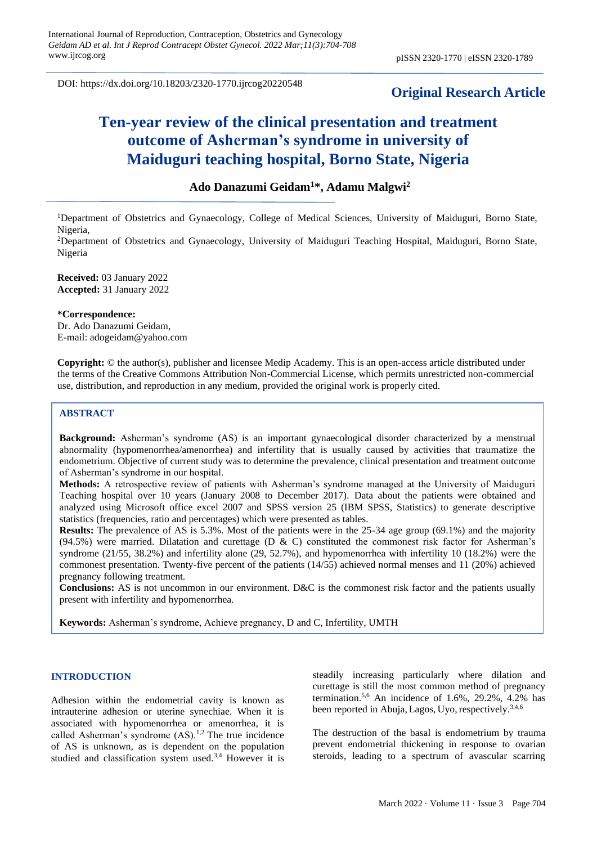DOI: https://dx.doi.org/10.18203/2320-1770.ijrcog20220548

# **Original Research Article**

# **Ten-year review of the clinical presentation and treatment outcome of Asherman's syndrome in university of Maiduguri teaching hospital, Borno State, Nigeria**

# **Ado Danazumi Geidam<sup>1</sup>\*, Adamu Malgwi<sup>2</sup>**

<sup>1</sup>Department of Obstetrics and Gynaecology, College of Medical Sciences, University of Maiduguri, Borno State, Nigeria,

<sup>2</sup>Department of Obstetrics and Gynaecology, University of Maiduguri Teaching Hospital, Maiduguri, Borno State, Nigeria

**Received:** 03 January 2022 **Accepted:** 31 January 2022

#### **\*Correspondence:**

Dr. Ado Danazumi Geidam, E-mail: [adogeidam@yahoo.com](mailto:adogeidam@yahoo.com)

**Copyright:** © the author(s), publisher and licensee Medip Academy. This is an open-access article distributed under the terms of the Creative Commons Attribution Non-Commercial License, which permits unrestricted non-commercial use, distribution, and reproduction in any medium, provided the original work is properly cited.

#### **ABSTRACT**

**Background:** Asherman's syndrome (AS) is an important gynaecological disorder characterized by a menstrual abnormality (hypomenorrhea/amenorrhea) and infertility that is usually caused by activities that traumatize the endometrium. Objective of current study was to determine the prevalence, clinical presentation and treatment outcome of Asherman's syndrome in our hospital.

**Methods:** A retrospective review of patients with Asherman's syndrome managed at the University of Maiduguri Teaching hospital over 10 years (January 2008 to December 2017). Data about the patients were obtained and analyzed using Microsoft office excel 2007 and SPSS version 25 (IBM SPSS, Statistics) to generate descriptive statistics (frequencies, ratio and percentages) which were presented as tables.

**Results:** The prevalence of AS is 5.3%. Most of the patients were in the 25-34 age group (69.1%) and the majority (94.5%) were married. Dilatation and curettage (D & C) constituted the commonest risk factor for Asherman's syndrome (21/55, 38.2%) and infertility alone (29, 52.7%), and hypomenorrhea with infertility 10 (18.2%) were the commonest presentation. Twenty-five percent of the patients (14/55) achieved normal menses and 11 (20%) achieved pregnancy following treatment.

**Conclusions:** AS is not uncommon in our environment. D&C is the commonest risk factor and the patients usually present with infertility and hypomenorrhea.

**Keywords:** Asherman's syndrome, Achieve pregnancy, D and C, Infertility, UMTH

#### **INTRODUCTION**

Adhesion within the endometrial cavity is known as intrauterine adhesion or uterine synechiae. When it is associated with hypomenorrhea or amenorrhea, it is called Asherman's syndrome  $(AS)$ .<sup>1,2</sup> The true incidence of AS is unknown, as is dependent on the population studied and classification system used.<sup>3,4</sup> However it is steadily increasing particularly where dilation and curettage is still the most common method of pregnancy termination.<sup>5,6</sup> An incidence of 1.6%, 29.2%, 4.2% has been reported in Abuja, Lagos, Uyo, respectively.<sup>3,4,6</sup>

The destruction of the basal is endometrium by trauma prevent endometrial thickening in response to ovarian steroids, leading to a spectrum of avascular scarring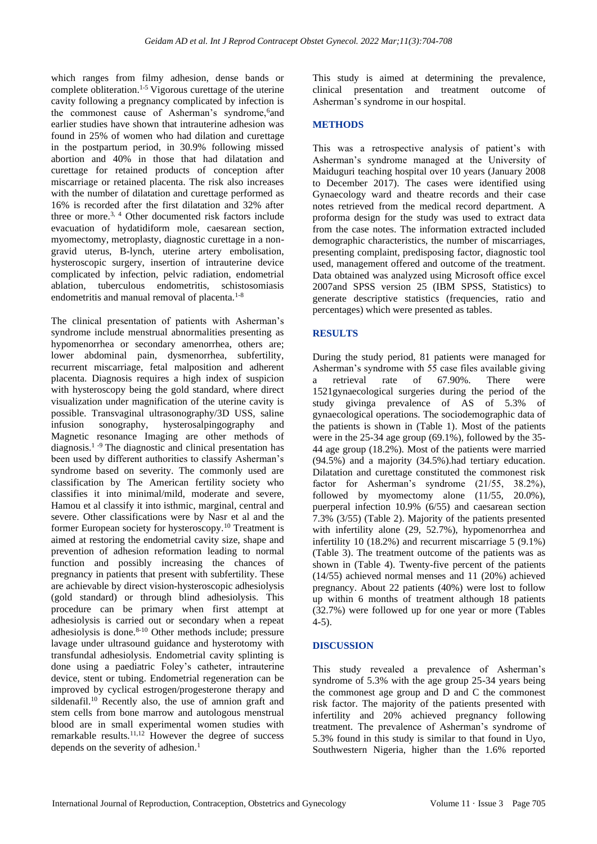which ranges from filmy adhesion, dense bands or complete obliteration.1-5 Vigorous curettage of the uterine cavity following a pregnancy complicated by infection is the commonest cause of Asherman's syndrome, 6and earlier studies have shown that intrauterine adhesion was found in 25% of women who had dilation and curettage in the postpartum period, in 30.9% following missed abortion and 40% in those that had dilatation and curettage for retained products of conception after miscarriage or retained placenta. The risk also increases with the number of dilatation and curettage performed as 16% is recorded after the first dilatation and 32% after three or more.<sup>3, 4</sup> Other documented risk factors include evacuation of hydatidiform mole, caesarean section, myomectomy, metroplasty, diagnostic curettage in a nongravid uterus, B-lynch, uterine artery embolisation, hysteroscopic surgery, insertion of intrauterine device complicated by infection, pelvic radiation, endometrial ablation, tuberculous endometritis, schistosomiasis endometritis and manual removal of placenta.<sup>1-8</sup>

The clinical presentation of patients with Asherman's syndrome include menstrual abnormalities presenting as hypomenorrhea or secondary amenorrhea, others are; lower abdominal pain, dysmenorrhea, subfertility, recurrent miscarriage, fetal malposition and adherent placenta. Diagnosis requires a high index of suspicion with hysteroscopy being the gold standard, where direct visualization under magnification of the uterine cavity is possible. Transvaginal ultrasonography/3D USS, saline infusion sonography, hysterosalpingography and Magnetic resonance Imaging are other methods of diagnosis.1 -9 The diagnostic and clinical presentation has been used by different authorities to classify Asherman's syndrome based on severity. The commonly used are classification by The American fertility society who classifies it into minimal/mild, moderate and severe, Hamou et al classify it into isthmic, marginal, central and severe. Other classifications were by Nasr et al and the former European society for hysteroscopy.<sup>10</sup> Treatment is aimed at restoring the endometrial cavity size, shape and prevention of adhesion reformation leading to normal function and possibly increasing the chances of pregnancy in patients that present with subfertility. These are achievable by direct vision-hysteroscopic adhesiolysis (gold standard) or through blind adhesiolysis. This procedure can be primary when first attempt at adhesiolysis is carried out or secondary when a repeat adhesiolysis is done.<sup>8-10</sup> Other methods include; pressure lavage under ultrasound guidance and hysterotomy with transfundal adhesiolysis. Endometrial cavity splinting is done using a paediatric Foley's catheter, intrauterine device, stent or tubing. Endometrial regeneration can be improved by cyclical estrogen/progesterone therapy and sildenafil.<sup>10</sup> Recently also, the use of amnion graft and stem cells from bone marrow and autologous menstrual blood are in small experimental women studies with remarkable results.11,12 However the degree of success depends on the severity of adhesion.<sup>1</sup>

This study is aimed at determining the prevalence, clinical presentation and treatment outcome of Asherman's syndrome in our hospital.

# **METHODS**

This was a retrospective analysis of patient's with Asherman's syndrome managed at the University of Maiduguri teaching hospital over 10 years (January 2008 to December 2017). The cases were identified using Gynaecology ward and theatre records and their case notes retrieved from the medical record department. A proforma design for the study was used to extract data from the case notes. The information extracted included demographic characteristics, the number of miscarriages, presenting complaint, predisposing factor, diagnostic tool used, management offered and outcome of the treatment. Data obtained was analyzed using Microsoft office excel 2007and SPSS version 25 (IBM SPSS, Statistics) to generate descriptive statistics (frequencies, ratio and percentages) which were presented as tables.

# **RESULTS**

During the study period, 81 patients were managed for Asherman's syndrome with 55 case files available giving a retrieval rate of 67.90%. There were 1521gynaecological surgeries during the period of the study givinga prevalence of AS of 5.3% of gynaecological operations. The sociodemographic data of the patients is shown in (Table 1). Most of the patients were in the 25-34 age group (69.1%), followed by the 35- 44 age group (18.2%). Most of the patients were married (94.5%) and a majority (34.5%).had tertiary education. Dilatation and curettage constituted the commonest risk factor for Asherman's syndrome (21/55, 38.2%), followed by myomectomy alone (11/55, 20.0%), puerperal infection 10.9% (6/55) and caesarean section 7.3% (3/55) (Table 2). Majority of the patients presented with infertility alone (29, 52.7%), hypomenorrhea and infertility 10 (18.2%) and recurrent miscarriage 5 (9.1%) (Table 3). The treatment outcome of the patients was as shown in (Table 4). Twenty-five percent of the patients (14/55) achieved normal menses and 11 (20%) achieved pregnancy. About 22 patients (40%) were lost to follow up within 6 months of treatment although 18 patients (32.7%) were followed up for one year or more (Tables 4-5).

#### **DISCUSSION**

This study revealed a prevalence of Asherman's syndrome of 5.3% with the age group 25-34 years being the commonest age group and D and C the commonest risk factor. The majority of the patients presented with infertility and 20% achieved pregnancy following treatment. The prevalence of Asherman's syndrome of 5.3% found in this study is similar to that found in Uyo, Southwestern Nigeria, higher than the 1.6% reported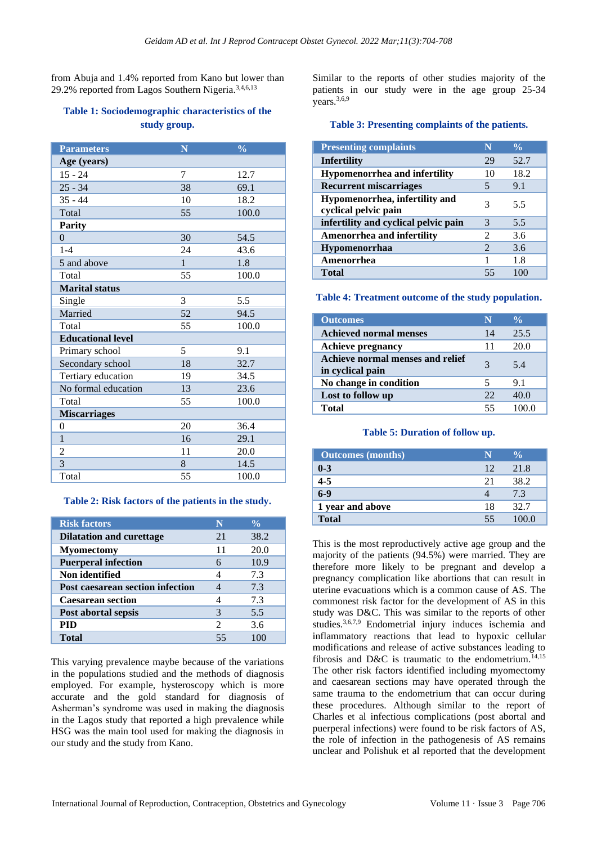from Abuja and 1.4% reported from Kano but lower than 29.2% reported from Lagos Southern Nigeria.<sup>3,4,6,13</sup>

# **Table 1: Sociodemographic characteristics of the study group.**

| <b>Parameters</b>        | N            | $\overline{\frac{9}{6}}$ |
|--------------------------|--------------|--------------------------|
| Age (years)              |              |                          |
| $15 - 24$                | 7            | 12.7                     |
| $25 - 34$                | 38           | 69.1                     |
| $35 - 44$                | 10           | 18.2                     |
| Total                    | 55           | 100.0                    |
| <b>Parity</b>            |              |                          |
| $\Omega$                 | 30           | 54.5                     |
| $1 - 4$                  | 24           | 43.6                     |
| 5 and above              | $\mathbf{1}$ | 1.8                      |
| Total                    | 55           | 100.0                    |
| <b>Marital status</b>    |              |                          |
| Single                   | 3            | 5.5                      |
| Married                  | 52           | 94.5                     |
| Total                    | 55           | 100.0                    |
| <b>Educational level</b> |              |                          |
| Primary school           | 5            | 9.1                      |
| Secondary school         | 18           | 32.7                     |
| Tertiary education       | 19           | 34.5                     |
| No formal education      | 13           | 23.6                     |
| Total                    | 55           | 100.0                    |
| <b>Miscarriages</b>      |              |                          |
| $\theta$                 | 20           | 36.4                     |
| $\mathbf{1}$             | 16           | 29.1                     |
| $\overline{c}$           | 11           | 20.0                     |
| 3                        | 8            | 14.5                     |
| Total                    | 55           | 100.0                    |

#### **Table 2: Risk factors of the patients in the study.**

| <b>Risk factors</b>              | N             | $\frac{0}{\sqrt{2}}$ |
|----------------------------------|---------------|----------------------|
| <b>Dilatation and curettage</b>  | 21            | 38.2                 |
| <b>Myomectomy</b>                | 11            | 20.0                 |
| <b>Puerperal infection</b>       |               | 10.9                 |
| Non identified                   |               | 7.3                  |
| Post caesarean section infection |               | 7.3                  |
| <b>Caesarean section</b>         |               | 7.3                  |
| Post abortal sepsis              | 3             | 5.5                  |
| PID                              | $\mathcal{D}$ | 3.6                  |
| Total                            | 55            |                      |

This varying prevalence maybe because of the variations in the populations studied and the methods of diagnosis employed. For example, hysteroscopy which is more accurate and the gold standard for diagnosis of Asherman's syndrome was used in making the diagnosis in the Lagos study that reported a high prevalence while HSG was the main tool used for making the diagnosis in our study and the study from Kano.

Similar to the reports of other studies majority of the patients in our study were in the age group 25-34 years.<sup>3,6,9</sup>

#### **Table 3: Presenting complaints of the patients.**

| <b>Presenting complaints</b>                           | N                     | $\frac{0}{\alpha}$ |
|--------------------------------------------------------|-----------------------|--------------------|
| <b>Infertility</b>                                     | 29                    | 52.7               |
| <b>Hypomenorrhea and infertility</b>                   | 10                    | 18.2               |
| <b>Recurrent miscarriages</b>                          | 5                     | 9.1                |
| Hypomenorrhea, infertility and<br>cyclical pelvic pain | 3                     | 5.5                |
| infertility and cyclical pelvic pain                   | $\mathcal{R}$         | 5.5                |
| Amenorrhea and infertility                             | $\mathcal{L}$         | 3.6                |
| <b>Hypomenorrhaa</b>                                   | $\mathcal{D}_{\cdot}$ | 3.6                |
| Amenorrhea                                             |                       | 1.8                |
| Total                                                  | 55                    |                    |

#### **Table 4: Treatment outcome of the study population.**

| <b>Outcomes</b>                                      | N  | $\frac{0}{0}$ |
|------------------------------------------------------|----|---------------|
| <b>Achieved normal menses</b>                        | 14 | 25.5          |
| <b>Achieve pregnancy</b>                             | 11 | 20.0          |
| Achieve normal menses and relief<br>in cyclical pain |    | 5.4           |
| No change in condition                               |    | 9.1           |
| Lost to follow up                                    | 22 | 40.0          |
| Total                                                | 55 |               |

#### **Table 5: Duration of follow up.**

| <b>Outcomes</b> (months) |    |       |
|--------------------------|----|-------|
| $0 - 3$                  | 12 | 21.8  |
| $\overline{4-5}$         | 21 | 38.2  |
| $6-9$                    |    | 7.3   |
| 1 year and above         | 18 | 32.7  |
| <b>Total</b>             | 55 | 100.0 |

This is the most reproductively active age group and the majority of the patients (94.5%) were married. They are therefore more likely to be pregnant and develop a pregnancy complication like abortions that can result in uterine evacuations which is a common cause of AS. The commonest risk factor for the development of AS in this study was D&C. This was similar to the reports of other studies.3,6,7,9 Endometrial injury induces ischemia and inflammatory reactions that lead to hypoxic cellular modifications and release of active substances leading to fibrosis and D&C is traumatic to the endometrium.<sup>14,15</sup> The other risk factors identified including myomectomy and caesarean sections may have operated through the same trauma to the endometrium that can occur during these procedures. Although similar to the report of Charles et al infectious complications (post abortal and puerperal infections) were found to be risk factors of AS, the role of infection in the pathogenesis of AS remains unclear and Polishuk et al reported that the development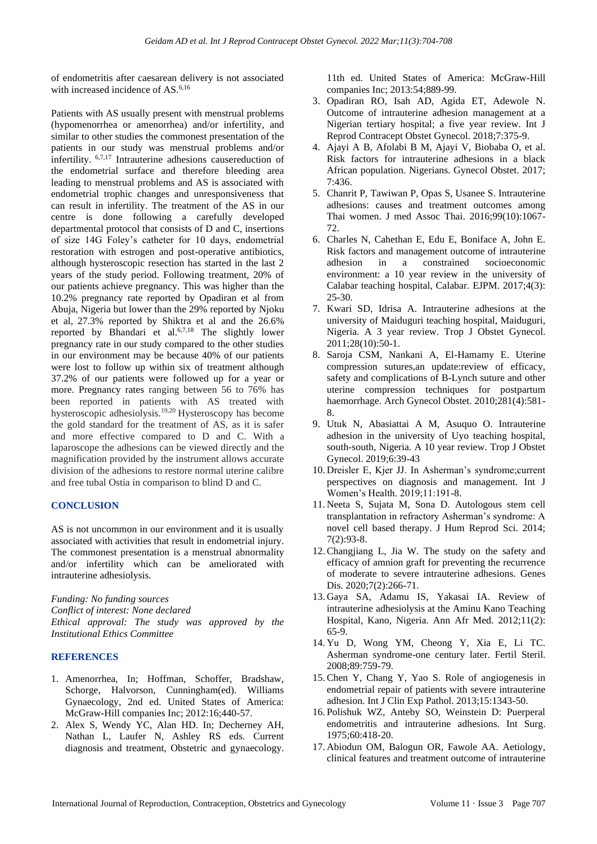of endometritis after caesarean delivery is not associated with increased incidence of AS.<sup>6,16</sup>

Patients with AS usually present with menstrual problems (hypomenorrhea or amenorrhea) and/or infertility, and similar to other studies the commonest presentation of the patients in our study was menstrual problems and/or infertility. 6,7,17 Intrauterine adhesions causereduction of the endometrial surface and therefore bleeding area leading to menstrual problems and AS is associated with endometrial trophic changes and unresponsiveness that can result in infertility. The treatment of the AS in our centre is done following a carefully developed departmental protocol that consists of D and C, insertions of size 14G Foley's catheter for 10 days, endometrial restoration with estrogen and post-operative antibiotics, although hysteroscopic resection has started in the last 2 years of the study period. Following treatment, 20% of our patients achieve pregnancy. This was higher than the 10.2% pregnancy rate reported by Opadiran et al from Abuja, Nigeria but lower than the 29% reported by Njoku et al, 27.3% reported by Shiktra et al and the 26.6% reported by Bhandari et al.6,7,18 The slightly lower pregnancy rate in our study compared to the other studies in our environment may be because 40% of our patients were lost to follow up within six of treatment although 37.2% of our patients were followed up for a year or more. Pregnancy rates ranging between 56 to 76% has been reported in patients with AS treated with hysteroscopic adhesiolysis.19,20 Hysteroscopy has become the gold standard for the treatment of AS, as it is safer and more effective compared to D and C. With a laparoscope the adhesions can be viewed directly and the magnification provided by the instrument allows accurate division of the adhesions to restore normal uterine calibre and free tubal Ostia in comparison to blind D and C.

# **CONCLUSION**

AS is not uncommon in our environment and it is usually associated with activities that result in endometrial injury. The commonest presentation is a menstrual abnormality and/or infertility which can be ameliorated with intrauterine adhesiolysis.

*Funding: No funding sources Conflict of interest: None declared Ethical approval: The study was approved by the Institutional Ethics Committee*

#### **REFERENCES**

- 1. Amenorrhea, In; Hoffman, Schoffer, Bradshaw, Schorge, Halvorson, Cunningham(ed). Williams Gynaecology, 2nd ed. United States of America: McGraw-Hill companies Inc; 2012:16;440-57.
- 2. Alex S, Wendy YC, Alan HD. In; Decherney AH, Nathan L, Laufer N, Ashley RS eds. Current diagnosis and treatment, Obstetric and gynaecology.

11th ed. United States of America: McGraw-Hill companies Inc; 2013:54;889-99.

- 3. Opadiran RO, Isah AD, Agida ET, Adewole N. Outcome of intrauterine adhesion management at a Nigerian tertiary hospital; a five year review. Int J Reprod Contracept Obstet Gynecol. 2018;7:375-9.
- 4. Ajayi A B, Afolabi B M, Ajayi V, Biobaba O, et al. Risk factors for intrauterine adhesions in a black African population. Nigerians. Gynecol Obstet. 2017; 7:436.
- 5. Chanrit P, Tawiwan P, Opas S, Usanee S. Intrauterine adhesions: causes and treatment outcomes among Thai women. J med Assoc Thai. 2016;99(10):1067- 72.
- 6. Charles N, Cahethan E, Edu E, Boniface A, John E. Risk factors and management outcome of intrauterine adhesion in a constrained socioeconomic environment: a 10 year review in the university of Calabar teaching hospital, Calabar. EJPM. 2017;4(3): 25-30.
- 7. Kwari SD, Idrisa A. Intrauterine adhesions at the university of Maiduguri teaching hospital, Maiduguri, Nigeria. A 3 year review. Trop J Obstet Gynecol. 2011;28(10):50-1.
- 8. Saroja CSM, Nankani A, El-Hamamy E. Uterine compression sutures,an update:review of efficacy, safety and complications of B-Lynch suture and other uterine compression techniques for postpartum haemorrhage. Arch Gynecol Obstet. 2010;281(4):581- 8.
- 9. Utuk N, Abasiattai A M, Asuquo O. Intrauterine adhesion in the university of Uyo teaching hospital, south-south, Nigeria. A 10 year review. Trop J Obstet Gynecol. 2019;6:39-43
- 10. Dreisler E, Kjer JJ. In Asherman's syndrome;current perspectives on diagnosis and management. Int J Women's Health. 2019;11:191-8.
- 11. Neeta S, Sujata M, Sona D. Autologous stem cell transplantation in refractory Asherman's syndrome: A novel cell based therapy. J Hum Reprod Sci. 2014; 7(2):93-8.
- 12.Changjiang L, Jia W. The study on the safety and efficacy of amnion graft for preventing the recurrence of moderate to severe intrauterine adhesions. Genes Dis. 2020;7(2):266-71.
- 13. Gaya SA, Adamu IS, Yakasai IA. Review of intrauterine adhesiolysis at the Aminu Kano Teaching Hospital, Kano, Nigeria. Ann Afr Med. 2012;11(2): 65-9.
- 14. Yu D, Wong YM, Cheong Y, Xia E, Li TC. Asherman syndrome-one century later. Fertil Steril. 2008;89:759-79.
- 15.Chen Y, Chang Y, Yao S. Role of angiogenesis in endometrial repair of patients with severe intrauterine adhesion. Int J Clin Exp Pathol. 2013;15:1343-50.
- 16. Polishuk WZ, Anteby SO, Weinstein D: Puerperal endometritis and intrauterine adhesions. Int Surg. 1975;60:418-20.
- 17. Abiodun OM, Balogun OR, Fawole AA. Aetiology, clinical features and treatment outcome of intrauterine